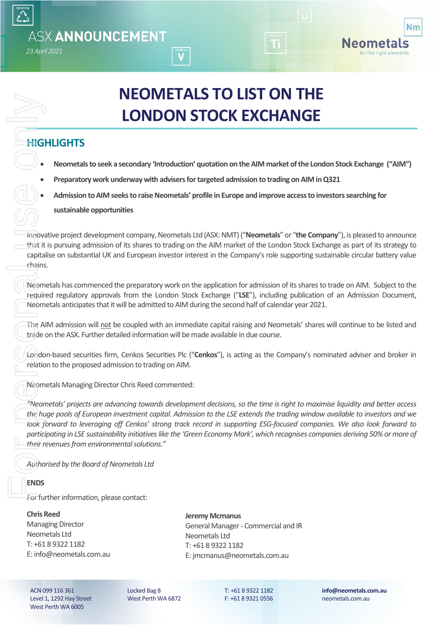# **NEOMETALS TO LIST ON THE LONDON STOCK EXCHANGE**

## **HIGHLIGHTS**

- **Neometalsto seek a secondary 'Introduction' quotation on the AIM market of the London Stock Exchange ("AIM")**
- **Preparatory work underway with advisers for targeted admission to trading on AIM in Q321**
- **Admission to AIM seeks to raise Neometals' profile in Europe and improve access to investors searching for**

**sustainable opportunities** 

Innovative project development company, Neometals Ltd (ASX: NMT) ("**Neometals**" or "**the Company**"), is pleased to announce that it is pursuing admission of its shares to trading on the AIM market of the London Stock Exchange as part of its strategy to capitalise on substantial UK and European investor interest in the Company's role supporting sustainable circular battery value chains.

Neometals has commenced the preparatory work on the application for admission of its shares to trade on AIM. Subject to the required regulatory approvals from the London Stock Exchange ("**LSE**"), including publication of an Admission Document, Neometals anticipates that it will be admitted to AIM during the second half of calendar year 2021.

The AIM admission will not be coupled with an immediate capital raising and Neometals' shares will continue to be listed and trade on the ASX. Further detailed information will be made available in due course.

London-based securities firm, Cenkos Securities Plc ("**Cenkos**"), is acting as the Company's nominated adviser and broker in relation to the proposed admission to trading on AIM.

Neometals Managing Director Chris Reed commented:

*"Neometals' projects are advancing towards development decisions, so the time is right to maximise liquidity and better access the huge pools of European investment capital. Admission to the LSE extends the trading window available to investors and we look forward to leveraging off Cenkos' strong track record in supporting ESG-focused companies. We also look forward to participating in LSE sustainability initiatives like the 'Green Economy Mark', which recognises companies deriving 50% or more of their revenues from environmental solutions."* For the Real Union<br>
For the Alexander Condo<br>
The Alexander Condo<br>
The Alexander Condo<br>
The Alexander Condo<br>
The Alexander Condo<br>
The Alexander Condo<br>
The Alexander Condo<br>
The Alexander Condo<br>
The Alexander Condo<br>
The Alexa

*Authorised by the Board of Neometals Ltd*

### **ENDS**

For further information, please contact:

#### **Chris Reed**

Managing Director Neometals Ltd T: +61 8 9322 1182 E: info@neometals.com.au **Jeremy Mcmanus** General Manager - Commercial and IR Neometals Ltd T: +61 8 9322 1182 E: jmcmanus@neometals.com.au

ACN 099 116 361 Level 1, 1292 Hay Street West Perth WA 6005

Locked Bag 8 West Perth WA 6872 T: +61 8 9322 1182 F: +61 8 9321 0556

**info@neometals.com.au** neometals.com.au

**Nm** 

Neometals All the right elements